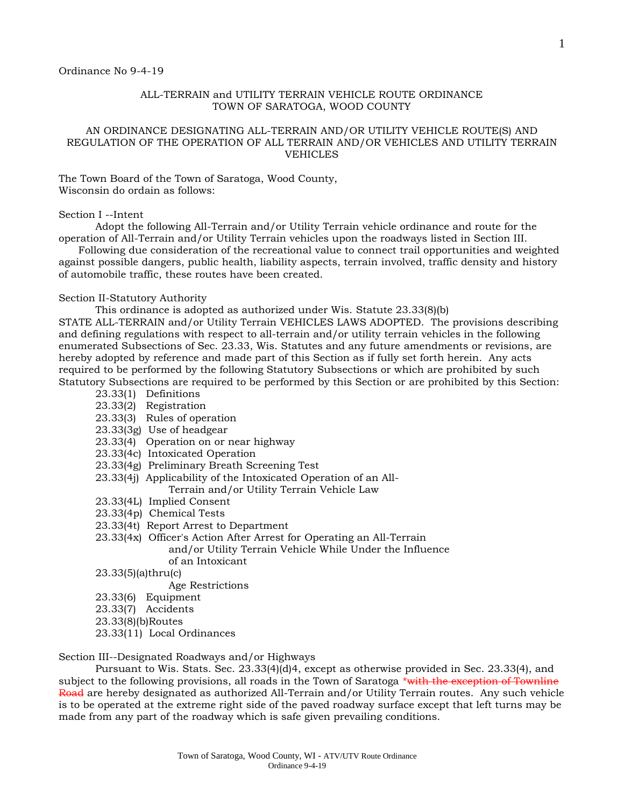### ALL-TERRAIN and UTILITY TERRAIN VEHICLE ROUTE ORDINANCE TOWN OF SARATOGA, WOOD COUNTY

### AN ORDINANCE DESIGNATING ALL-TERRAIN AND/OR UTILITY VEHICLE ROUTE(S) AND REGULATION OF THE OPERATION OF ALL TERRAIN AND/OR VEHICLES AND UTILITY TERRAIN VEHICLES

The Town Board of the Town of Saratoga, Wood County, Wisconsin do ordain as follows:

#### Section I --Intent

Adopt the following All-Terrain and/or Utility Terrain vehicle ordinance and route for the operation of All-Terrain and/or Utility Terrain vehicles upon the roadways listed in Section III.

 Following due consideration of the recreational value to connect trail opportunities and weighted against possible dangers, public health, liability aspects, terrain involved, traffic density and history of automobile traffic, these routes have been created.

#### Section II-Statutory Authority

This ordinance is adopted as authorized under Wis. Statute 23.33(8)(b)

STATE ALL-TERRAIN and/or Utility Terrain VEHICLES LAWS ADOPTED. The provisions describing and defining regulations with respect to all-terrain and/or utility terrain vehicles in the following enumerated Subsections of Sec. 23.33, Wis. Statutes and any future amendments or revisions, are hereby adopted by reference and made part of this Section as if fully set forth herein. Any acts required to be performed by the following Statutory Subsections or which are prohibited by such Statutory Subsections are required to be performed by this Section or are prohibited by this Section:

- 23.33(1) Definitions
- 23.33(2) Registration
- 23.33(3) Rules of operation
- 23.33(3g) Use of headgear
- 23.33(4) Operation on or near highway
- 23.33(4c) Intoxicated Operation
- 23.33(4g) Preliminary Breath Screening Test
- 23.33(4j) Applicability of the Intoxicated Operation of an All-Terrain and/or Utility Terrain Vehicle Law
- 23.33(4L) Implied Consent
- 23.33(4p) Chemical Tests
- 23.33(4t) Report Arrest to Department
- 23.33(4x) Officer's Action After Arrest for Operating an All-Terrain and/or Utility Terrain Vehicle While Under the Influence of an Intoxicant
- 23.33(5)(a)thru(c)
	- Age Restrictions
- 23.33(6) Equipment
- 23.33(7) Accidents
- 23.33(8)(b)Routes
- 23.33(11) Local Ordinances

Section III--Designated Roadways and/or Highways

Pursuant to Wis. Stats. Sec. 23.33(4)(d)4, except as otherwise provided in Sec. 23.33(4), and subject to the following provisions, all roads in the Town of Saratoga \*with the exception of Townline Road are hereby designated as authorized All-Terrain and/or Utility Terrain routes. Any such vehicle is to be operated at the extreme right side of the paved roadway surface except that left turns may be made from any part of the roadway which is safe given prevailing conditions.